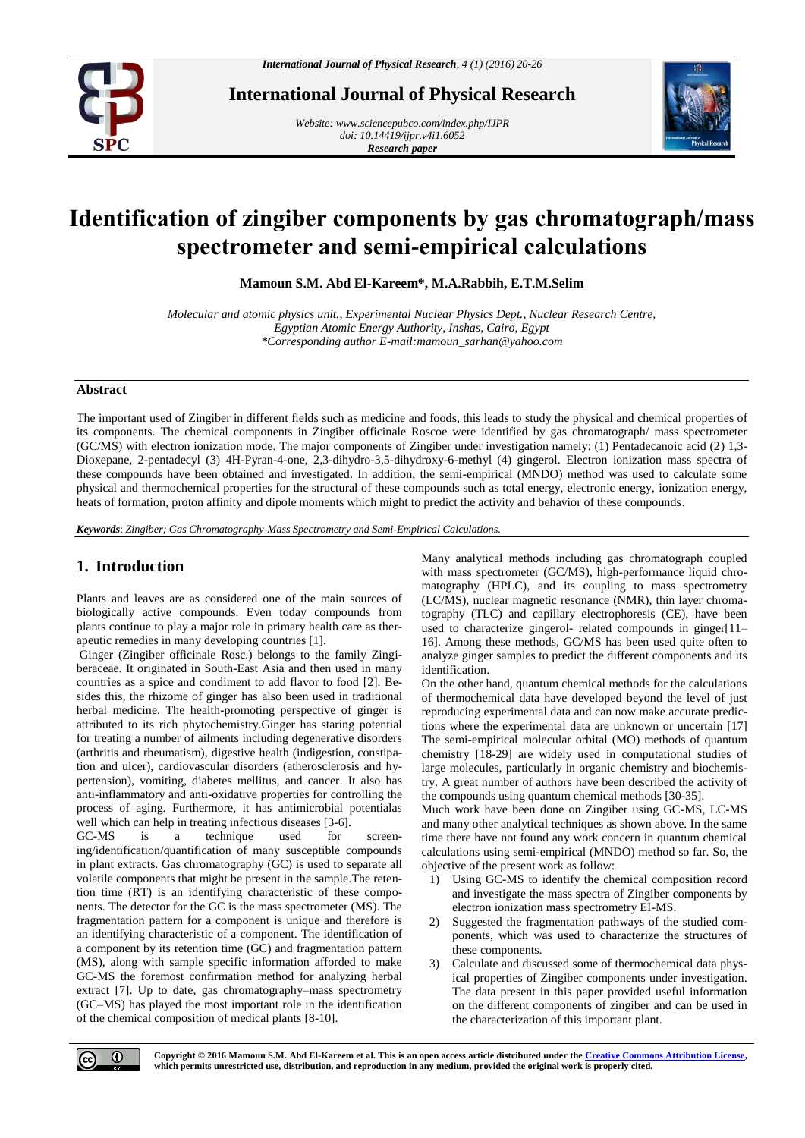

**International Journal of Physical Research**

*Website[: www.sciencepubco.com/index.php/IJPR](http://www.sciencepubco.com/index.php/IJPR) doi: 10.14419/ijpr.v4i1.6052 Research paper*



# **Identification of zingiber components by gas chromatograph/mass spectrometer and semi-empirical calculations**

**Mamoun S.M. Abd El-Kareem\*, M.A.Rabbih, E.T.M.Selim**

*Molecular and atomic physics unit., Experimental Nuclear Physics Dept., Nuclear Research Centre, Egyptian Atomic Energy Authority, Inshas, Cairo, Egypt \*Corresponding author E-mail:mamoun\_sarhan@yahoo.com*

#### **Abstract**

The important used of Zingiber in different fields such as medicine and foods, this leads to study the physical and chemical properties of its components. The chemical components in Zingiber officinale Roscoe were identified by gas chromatograph/ mass spectrometer (GC/MS) with electron ionization mode. The major components of Zingiber under investigation namely: (1) Pentadecanoic acid (2) 1,3- Dioxepane, 2-pentadecyl (3) 4H-Pyran-4-one, 2,3-dihydro-3,5-dihydroxy-6-methyl (4) gingerol. Electron ionization mass spectra of these compounds have been obtained and investigated. In addition, the semi-empirical (MNDO) method was used to calculate some physical and thermochemical properties for the structural of these compounds such as total energy, electronic energy, ionization energy, heats of formation, proton affinity and dipole moments which might to predict the activity and behavior of these compounds.

*Keywords*: *Zingiber; Gas Chromatography-Mass Spectrometry and Semi-Empirical Calculations.*

# **1. Introduction**

Plants and leaves are as considered one of the main sources of biologically active compounds. Even today compounds from plants continue to play a major role in primary health care as therapeutic remedies in many developing countries [1].

Ginger (Zingiber officinale Rosc.) belongs to the family Zingiberaceae. It originated in South-East Asia and then used in many countries as a spice and condiment to add flavor to food [2]. Besides this, the rhizome of ginger has also been used in traditional herbal medicine. The health-promoting perspective of ginger is attributed to its rich phytochemistry.Ginger has staring potential for treating a number of ailments including degenerative disorders (arthritis and rheumatism), digestive health (indigestion, constipation and ulcer), cardiovascular disorders (atherosclerosis and hypertension), vomiting, diabetes mellitus, and cancer. It also has anti-inflammatory and anti-oxidative properties for controlling the process of aging. Furthermore, it has antimicrobial potentialas well which can help in treating infectious diseases [3-6].

GC-MS is a technique used for screening/identification/quantification of many susceptible compounds in plant extracts. Gas chromatography (GC) is used to separate all volatile components that might be present in the sample.The retention time (RT) is an identifying characteristic of these components. The detector for the GC is the mass spectrometer (MS). The fragmentation pattern for a component is unique and therefore is an identifying characteristic of a component. The identification of a component by its retention time (GC) and fragmentation pattern (MS), along with sample specific information afforded to make GC-MS the foremost confirmation method for analyzing herbal extract [7]. Up to date, gas chromatography–mass spectrometry (GC–MS) has played the most important role in the identification of the chemical composition of medical plants [8-10].

Many analytical methods including gas chromatograph coupled with mass spectrometer (GC/MS), high-performance liquid chromatography (HPLC), and its coupling to mass spectrometry (LC/MS), nuclear magnetic resonance (NMR), thin layer chromatography (TLC) and capillary electrophoresis (CE), have been used to characterize gingerol- related compounds in ginger[11– 16]. Among these methods, GC/MS has been used quite often to analyze ginger samples to predict the different components and its identification.

On the other hand, quantum chemical methods for the calculations of thermochemical data have developed beyond the level of just reproducing experimental data and can now make accurate predictions where the experimental data are unknown or uncertain [17] The semi-empirical molecular orbital (MO) methods of quantum chemistry [18-29] are widely used in computational studies of large molecules, particularly in organic chemistry and biochemistry. A great number of authors have been described the activity of the compounds using quantum chemical methods [30-35].

Much work have been done on Zingiber using GC-MS, LC-MS and many other analytical techniques as shown above. In the same time there have not found any work concern in quantum chemical calculations using semi-empirical (MNDO) method so far. So, the objective of the present work as follow:

- 1) Using GC-MS to identify the chemical composition record and investigate the mass spectra of Zingiber components by electron ionization mass spectrometry EI-MS.
- 2) Suggested the fragmentation pathways of the studied components, which was used to characterize the structures of these components.
- 3) Calculate and discussed some of thermochemical data physical properties of Zingiber components under investigation. The data present in this paper provided useful information on the different components of zingiber and can be used in the characterization of this important plant.



**Copyright © 2016 Mamoun S.M. Abd El-Kareem et al. This is an open access article distributed under th[e Creative Commons Attribution License,](http://creativecommons.org/licenses/by/3.0/)  which permits unrestricted use, distribution, and reproduction in any medium, provided the original work is properly cited.**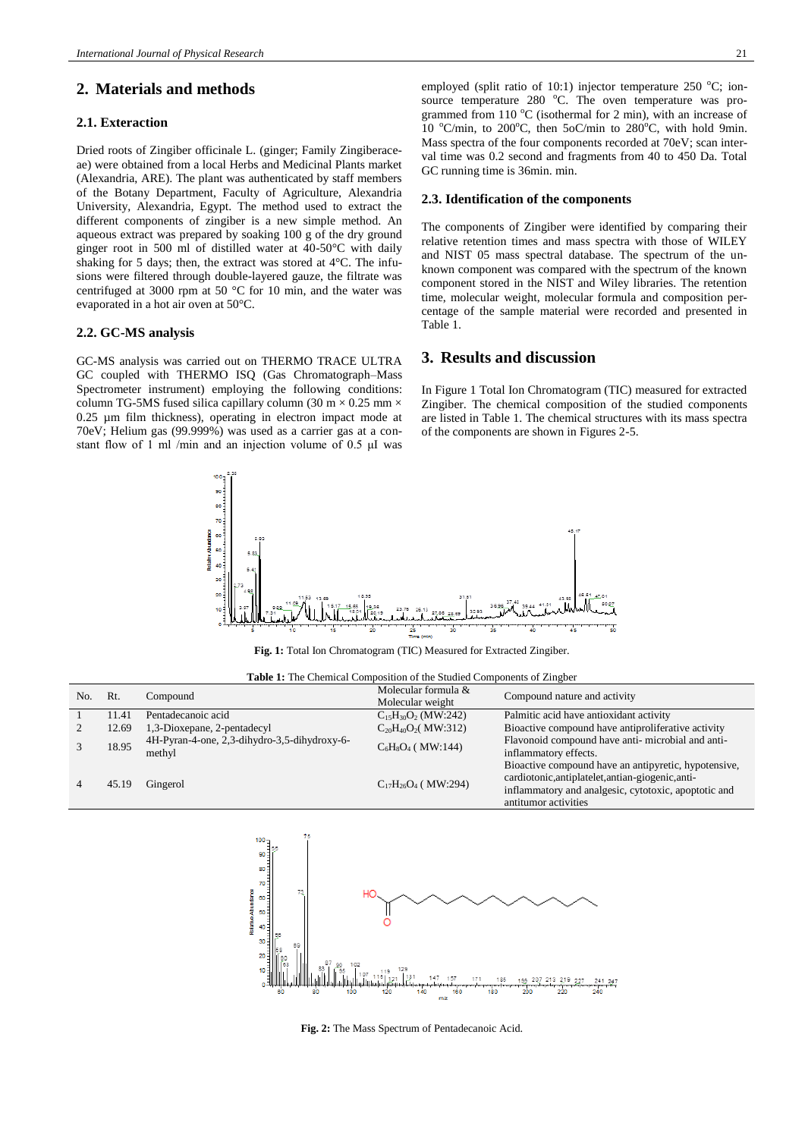## **2. Materials and methods**

## **2.1. Exteraction**

Dried roots of Zingiber officinale L. (ginger; Family Zingiberaceae) were obtained from a local Herbs and Medicinal Plants market (Alexandria, ARE). The plant was authenticated by staff members of the Botany Department, Faculty of Agriculture, Alexandria University, Alexandria, Egypt. The method used to extract the different components of zingiber is a new simple method. An aqueous extract was prepared by soaking 100 g of the dry ground ginger root in 500 ml of distilled water at 40-50°C with daily shaking for 5 days; then, the extract was stored at 4°C. The infusions were filtered through double-layered gauze, the filtrate was centrifuged at 3000 rpm at 50 °C for 10 min, and the water was evaporated in a hot air oven at 50°C.

## **2.2. GC-MS analysis**

GC-MS analysis was carried out on THERMO TRACE ULTRA GC coupled with THERMO ISQ (Gas Chromatograph–Mass Spectrometer instrument) employing the following conditions: column TG-5MS fused silica capillary column (30 m  $\times$  0.25 mm  $\times$ 0.25 µm film thickness), operating in electron impact mode at 70eV; Helium gas (99.999%) was used as a carrier gas at a constant flow of 1 ml /min and an injection volume of 0.5 μI was employed (split ratio of 10:1) injector temperature 250  $^{\circ}$ C; ionsource temperature  $280\degree$ C. The oven temperature was programmed from 110  $^{\circ}$ C (isothermal for 2 min), with an increase of 10  $^{\circ}$ C/min, to 200 $^{\circ}$ C, then 5oC/min to 280 $^{\circ}$ C, with hold 9min. Mass spectra of the four components recorded at 70eV; scan interval time was 0.2 second and fragments from 40 to 450 Da. Total GC running time is 36min. min.

#### **2.3. Identification of the components**

The components of Zingiber were identified by comparing their relative retention times and mass spectra with those of WILEY and NIST 05 mass spectral database. The spectrum of the unknown component was compared with the spectrum of the known component stored in the NIST and Wiley libraries. The retention time, molecular weight, molecular formula and composition percentage of the sample material were recorded and presented in Table 1.

## **3. Results and discussion**

In Figure 1 Total Ion Chromatogram (TIC) measured for extracted Zingiber. The chemical composition of the studied components are listed in Table 1. The chemical structures with its mass spectra of the components are shown in Figures 2-5.



**Fig. 1:** Total Ion Chromatogram (TIC) Measured for Extracted Zingiber.

| Table 1: The Chemical Composition of the Studied Components of Zingber |  |
|------------------------------------------------------------------------|--|
|------------------------------------------------------------------------|--|

| No. | Rt.   | Compound                                               | Molecular formula &<br>Molecular weight | Compound nature and activity                                                                                                                                                              |
|-----|-------|--------------------------------------------------------|-----------------------------------------|-------------------------------------------------------------------------------------------------------------------------------------------------------------------------------------------|
|     | 11.41 | Pentadecanoic acid                                     | $C_{15}H_{30}O_2$ (MW:242)              | Palmitic acid have antioxidant activity                                                                                                                                                   |
|     | 12.69 | 1,3-Dioxepane, 2-pentadecyl                            | $C_{20}H_{40}O_2(MW:312)$               | Bioactive compound have antiproliferative activity                                                                                                                                        |
|     | 18.95 | 4H-Pyran-4-one, 2,3-dihydro-3,5-dihydroxy-6-<br>methyl | $C_6H_8O_4$ (MW:144)                    | Flavonoid compound have anti-microbial and anti-<br>inflammatory effects.                                                                                                                 |
|     | 45.19 | Gingerol                                               | $C_{17}H_{26}O_4$ (MW:294)              | Bioactive compound have an antipyretic, hypotensive,<br>cardiotonic, antiplatelet, antian-giogenic, anti-<br>inflammatory and analgesic, cytotoxic, apoptotic and<br>antitumor activities |



**Fig. 2:** The Mass Spectrum of Pentadecanoic Acid.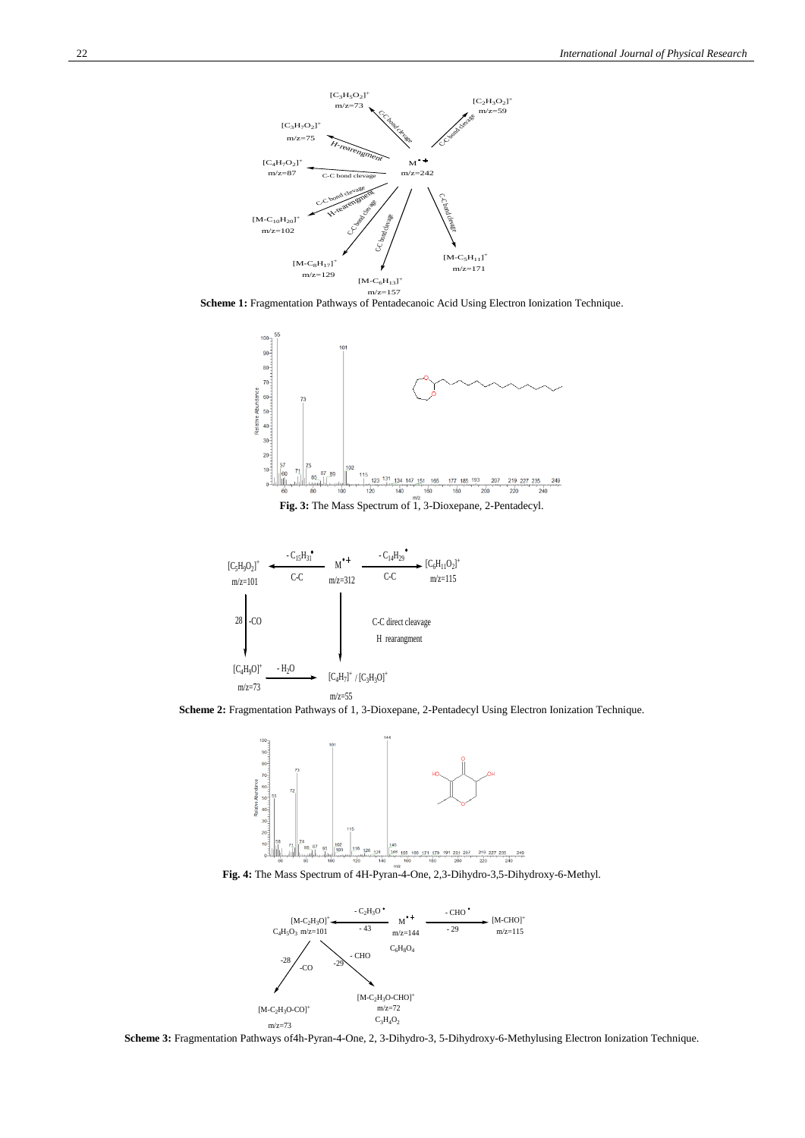

**Scheme 1:** Fragmentation Pathways of Pentadecanoic Acid Using Electron Ionization Technique.







**Scheme 2:** Fragmentation Pathways of 1, 3-Dioxepane, 2-Pentadecyl Using Electron Ionization Technique.



**Fig. 4:** The Mass Spectrum of 4H-Pyran-4-One, 2,3-Dihydro-3,5-Dihydroxy-6-Methyl.



**Scheme 3:** Fragmentation Pathways of4h-Pyran-4-One, 2, 3-Dihydro-3, 5-Dihydroxy-6-Methylusing Electron Ionization Technique.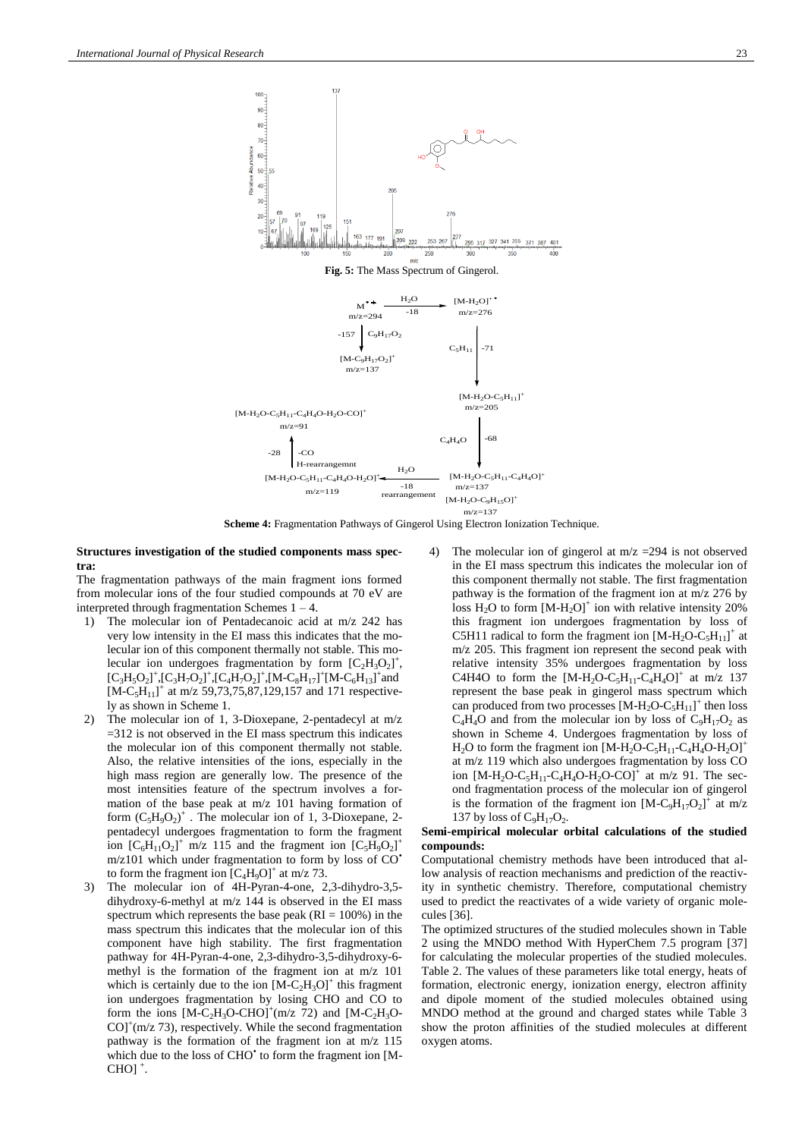

#### **Structures investigation of the studied components mass spectra:**

The fragmentation pathways of the main fragment ions formed from molecular ions of the four studied compounds at 70 eV are interpreted through fragmentation Schemes 1 – 4.

- 1) The molecular ion of Pentadecanoic acid at m/z 242 has very low intensity in the EI mass this indicates that the molecular ion of this component thermally not stable. This molecular ion undergoes fragmentation by form  $[C_2H_3O_2]^+$ ,  $[C_3H_5O_2]^+$ , $[C_3H_7O_2]^+$ , $[C_4H_7O_2]^+$ , $[M-C_8H_{17}]^+$  $[M-C_6H_{13}]^+$ and  $[M-C<sub>5</sub>H<sub>11</sub>]<sup>+</sup>$  at m/z 59,73,75,87,129,157 and 171 respectively as shown in Scheme 1.
- The molecular ion of 1, 3-Dioxepane, 2-pentadecyl at m/z  $=$  312 is not observed in the EI mass spectrum this indicates the molecular ion of this component thermally not stable. Also, the relative intensities of the ions, especially in the high mass region are generally low. The presence of the most intensities feature of the spectrum involves a formation of the base peak at m/z 101 having formation of form  $(C_5H_9O_2)^+$ . The molecular ion of 1, 3-Dioxepane, 2pentadecyl undergoes fragmentation to form the fragment ion  $[C_6H_{11}O_2]^+$  m/z 115 and the fragment ion  $[C_5H_9O_2]^+$  $m/z101$  which under fragmentation to form by loss of  $CO<sup>2</sup>$ to form the fragment ion  $[C_4H_9O]^+$  at m/z 73.
- 3) The molecular ion of 4H-Pyran-4-one, 2,3-dihydro-3,5 dihydroxy-6-methyl at m/z 144 is observed in the EI mass spectrum which represents the base peak ( $RI = 100\%$ ) in the mass spectrum this indicates that the molecular ion of this component have high stability. The first fragmentation pathway for 4H-Pyran-4-one, 2,3-dihydro-3,5-dihydroxy-6 methyl is the formation of the fragment ion at m/z 101 which is certainly due to the ion  $[M-C<sub>2</sub>H<sub>3</sub>O]<sup>+</sup>$  this fragment ion undergoes fragmentation by losing CHO and CO to form the ions  $[M-C_2H_3O-CHO]^+(m/z)$  and  $[M-C_2H_3O COJ<sup>+</sup>(m/z 73)$ , respectively. While the second fragmentation pathway is the formation of the fragment ion at m/z 115 which due to the loss of CHO' to form the fragment ion [M- $CHOj^+$ .
- 4) The molecular ion of gingerol at m/z =294 is not observed in the EI mass spectrum this indicates the molecular ion of this component thermally not stable. The first fragmentation pathway is the formation of the fragment ion at m/z 276 by loss  $H_2O$  to form  $[M-H_2O]^+$  ion with relative intensity 20% this fragment ion undergoes fragmentation by loss of C5H11 radical to form the fragment ion  $[M-H_2O-C_5H_{11}]^+$  at m/z 205. This fragment ion represent the second peak with relative intensity 35% undergoes fragmentation by loss C4H4O to form the  $[M-H_2O-C_5H_{11}-C_4H_4O]^+$  at m/z 137 represent the base peak in gingerol mass spectrum which can produced from two processes  $[M-H_2O-C_5H_{11}]^+$  then loss  $C_4H_4O$  and from the molecular ion by loss of  $C_9H_{17}O_2$  as shown in Scheme 4. Undergoes fragmentation by loss of  $H_2O$  to form the fragment ion  $[M-H_2O-C_5H_{11}-C_4H_4O-H_2O]^+$ at m/z 119 which also undergoes fragmentation by loss CO ion  $[M-H_2O-C_5H_{11}-C_4H_4O-H_2O-CO]^+$  at m/z 91. The second fragmentation process of the molecular ion of gingerol is the formation of the fragment ion  $[M-C_9H_{17}O_2]^{\text{+}}$  at m/z 137 by loss of  $C_9H_{17}O_2$ .

#### **Semi-empirical molecular orbital calculations of the studied compounds:**

Computational chemistry methods have been introduced that allow analysis of reaction mechanisms and prediction of the reactivity in synthetic chemistry. Therefore, computational chemistry used to predict the reactivates of a wide variety of organic molecules [36].

The optimized structures of the studied molecules shown in Table 2 using the MNDO method With HyperChem 7.5 program [37] for calculating the molecular properties of the studied molecules. Table 2. The values of these parameters like total energy, heats of formation, electronic energy, ionization energy, electron affinity and dipole moment of the studied molecules obtained using MNDO method at the ground and charged states while Table 3 show the proton affinities of the studied molecules at different oxygen atoms.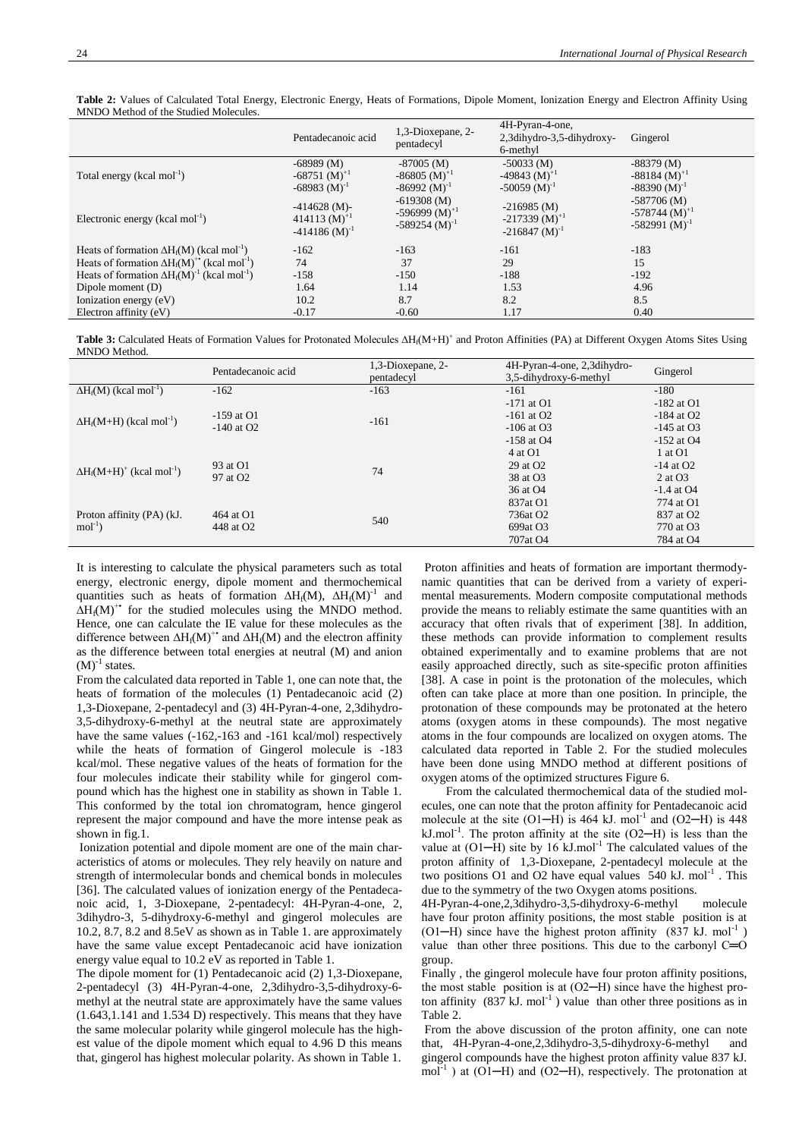|                                                                         | Pentadecanoic acid                                                       | 1,3-Dioxepane, 2-<br>pentadecyl                                                                                                                | 4H-Pyran-4-one,<br>2,3dihydro-3,5-dihydroxy-<br>6-methyl              | Gingerol                                                                                                                                 |
|-------------------------------------------------------------------------|--------------------------------------------------------------------------|------------------------------------------------------------------------------------------------------------------------------------------------|-----------------------------------------------------------------------|------------------------------------------------------------------------------------------------------------------------------------------|
| Total energy (kcal mol <sup>-1</sup> )                                  | $-68989$ (M)<br>$-68751$ (M) <sup>+1</sup><br>$-68983$ (M) <sup>-1</sup> | $-87005$ (M)<br>$-86805$ (M) <sup>+1</sup><br>$-86992$ (M) <sup>-1</sup><br>$-619308$ (M)<br>$-596999 (M)^{+1}$<br>$-589254$ (M) <sup>-1</sup> | $-50033$ (M)<br>-49843 $(M)^{+1}$<br>$-50059$ (M) <sup>-1</sup>       | $-88379$ (M)<br>$-88184 \, (M)^{+1}$<br>$-88390 (M)^{-1}$<br>$-587706$ (M)<br>$-578744$ (M) <sup>+1</sup><br>$-582991$ (M) <sup>-1</sup> |
| Electronic energy (kcal mol <sup>-1</sup> )                             | $-414628$ (M) $-$<br>414113 $(M)^{+1}$<br>$-414186$ (M) <sup>-1</sup>    |                                                                                                                                                | $-216985$ (M)<br>$-217339$ (M) <sup>+1</sup><br>$-216847 \, (M)^{-1}$ |                                                                                                                                          |
| Heats of formation $\Delta H_f(M)$ (kcal mol <sup>-1</sup> )            | $-162$                                                                   | $-163$                                                                                                                                         | $-161$                                                                | $-183$                                                                                                                                   |
| Heats of formation $\Delta H_f(M)^{+\bullet}$ (kcal mol <sup>-1</sup> ) | 74                                                                       | 37                                                                                                                                             | 29                                                                    | 15                                                                                                                                       |
| Heats of formation $\Delta H_f(M)^{-1}$ (kcal mol <sup>-1</sup> )       | $-158$                                                                   | $-150$                                                                                                                                         | $-188$                                                                | $-192$                                                                                                                                   |
| Dipole moment (D)                                                       | 1.64                                                                     | 1.14                                                                                                                                           | 1.53                                                                  | 4.96                                                                                                                                     |
| Ionization energy (eV)                                                  | 10.2                                                                     | 8.7                                                                                                                                            | 8.2                                                                   | 8.5                                                                                                                                      |
| Electron affinity (eV)                                                  | $-0.17$                                                                  | $-0.60$                                                                                                                                        | 1.17                                                                  | 0.40                                                                                                                                     |

**Table 2:** Values of Calculated Total Energy, Electronic Energy, Heats of Formations, Dipole Moment, Ionization Energy and Electron Affinity Using MNDO Method of the Studied Molecules.

Table 3: Calculated Heats of Formation Values for Protonated Molecules ∆H<sub>f</sub>(M+H)<sup>+</sup> and Proton Affinities (PA) at Different Oxygen Atoms Sites Using MNDO Method.

|                                               | Pentadecanoic acid                 | 1,3-Dioxepane, 2-<br>pentadecyl | 4H-Pyran-4-one, 2,3dihydro-<br>3,5-dihydroxy-6-methyl | Gingerol              |
|-----------------------------------------------|------------------------------------|---------------------------------|-------------------------------------------------------|-----------------------|
| $\Delta H_f(M)$ (kcal mol <sup>-1</sup> )     | $-162$                             | $-163$                          | $-161$                                                | $-180$                |
|                                               |                                    |                                 | $-171$ at O1                                          | $-182$ at O1          |
| $\Delta H_f(M+H)$ (kcal mol <sup>-1</sup> )   | $-159$ at O1                       | $-161$                          | $-161$ at O2                                          | $-184$ at O2          |
|                                               | $-140$ at O2                       |                                 | $-106$ at O3                                          | $-145$ at O3          |
|                                               |                                    |                                 | $-158$ at O4                                          | $-152$ at O4          |
|                                               | 93 at O1                           | 74                              | 4 at O1                                               | 1 at O1               |
| $\Delta H_f(M+H)^+$ (kcal mol <sup>-1</sup> ) |                                    |                                 | 29 at O <sub>2</sub>                                  | $-14$ at O2           |
|                                               | 97 at O <sub>2</sub>               |                                 | 38 at O3                                              | 2 at $O3$             |
|                                               |                                    |                                 | 36 at O4                                              | $-1.4$ at O4          |
|                                               | 464 at O1<br>448 at O <sub>2</sub> | 540                             | 837at O1                                              | 774 at O1             |
| Proton affinity (PA) (kJ.                     |                                    |                                 | 736at O <sub>2</sub>                                  | 837 at O <sub>2</sub> |
| $mol-1$                                       |                                    |                                 | 699at O3                                              | 770 at O3             |
|                                               |                                    |                                 | 707at O <sub>4</sub>                                  | 784 at O4             |

It is interesting to calculate the physical parameters such as total energy, electronic energy, dipole moment and thermochemical quantities such as heats of formation  $\Delta H_f(M)$ ,  $\Delta H_f(M)^{-1}$  and  $\Delta H_f(M)^{+*}$  for the studied molecules using the MNDO method. Hence, one can calculate the IE value for these molecules as the difference between  $\Delta H_f(M)^{+}$  and  $\Delta H_f(M)$  and the electron affinity as the difference between total energies at neutral (M) and anion  $(M)^{-1}$  states.

From the calculated data reported in Table 1, one can note that, the heats of formation of the molecules (1) Pentadecanoic acid (2) 1,3-Dioxepane, 2-pentadecyl and (3) 4H-Pyran-4-one, 2,3dihydro-3,5-dihydroxy-6-methyl at the neutral state are approximately have the same values (-162,-163 and -161 kcal/mol) respectively while the heats of formation of Gingerol molecule is -183 kcal/mol. These negative values of the heats of formation for the four molecules indicate their stability while for gingerol compound which has the highest one in stability as shown in Table 1. This conformed by the total ion chromatogram, hence gingerol represent the major compound and have the more intense peak as shown in fig.1.

Ionization potential and dipole moment are one of the main characteristics of atoms or molecules. They rely heavily on nature and strength of intermolecular bonds and chemical bonds in molecules [36]. The calculated values of ionization energy of the Pentadecanoic acid, 1, 3-Dioxepane, 2-pentadecyl: 4H-Pyran-4-one, 2, 3dihydro-3, 5-dihydroxy-6-methyl and gingerol molecules are 10.2, 8.7, 8.2 and 8.5eV as shown as in Table 1. are approximately have the same value except Pentadecanoic acid have ionization energy value equal to 10.2 eV as reported in Table 1.

The dipole moment for (1) Pentadecanoic acid (2) 1,3-Dioxepane, 2-pentadecyl (3) 4H-Pyran-4-one, 2,3dihydro-3,5-dihydroxy-6 methyl at the neutral state are approximately have the same values (1.643,1.141 and 1.534 D) respectively. This means that they have the same molecular polarity while gingerol molecule has the highest value of the dipole moment which equal to 4.96 D this means that, gingerol has highest molecular polarity. As shown in Table 1.

Proton affinities and heats of formation are important thermodynamic quantities that can be derived from a variety of experimental measurements. Modern composite computational methods provide the means to reliably estimate the same quantities with an accuracy that often rivals that of experiment [38]. In addition, these methods can provide information to complement results obtained experimentally and to examine problems that are not easily approached directly, such as site-specific proton affinities [38]. A case in point is the protonation of the molecules, which often can take place at more than one position. In principle, the protonation of these compounds may be protonated at the hetero atoms (oxygen atoms in these compounds). The most negative atoms in the four compounds are localized on oxygen atoms. The calculated data reported in Table 2. For the studied molecules have been done using MNDO method at different positions of oxygen atoms of the optimized structures Figure 6.

 From the calculated thermochemical data of the studied molecules, one can note that the proton affinity for Pentadecanoic acid molecule at the site  $(O1-H)$  is 464 kJ. mol<sup>-1</sup> and  $(O2-H)$  is 448  $kJ$ .mol<sup>-1</sup>. The proton affinity at the site (O2-H) is less than the value at  $(O1-H)$  site by 16 kJ.mol<sup>-1</sup> The calculated values of the proton affinity of 1,3-Dioxepane, 2-pentadecyl molecule at the two positions O1 and O2 have equal values  $540 \text{ kJ}$ . mol<sup>-1</sup>. This due to the symmetry of the two Oxygen atoms positions.

4H-Pyran-4-one,2,3dihydro-3,5-dihydroxy-6-methyl molecule have four proton affinity positions, the most stable position is at (O1-H) since have the highest proton affinity  $(837 \text{ kJ. mol}^{-1})$ value than other three positions. This due to the carbonyl C=O group.

Finally , the gingerol molecule have four proton affinity positions, the most stable position is at (O2-H) since have the highest proton affinity  $(837 \text{ kJ} \cdot \text{mol}^{-1})$  value than other three positions as in Table 2.

From the above discussion of the proton affinity, one can note that, 4H-Pyran-4-one,2,3dihydro-3,5-dihydroxy-6-methyl and gingerol compounds have the highest proton affinity value 837 kJ.  $mol^{-1}$ ) at (O1-H) and (O2-H), respectively. The protonation at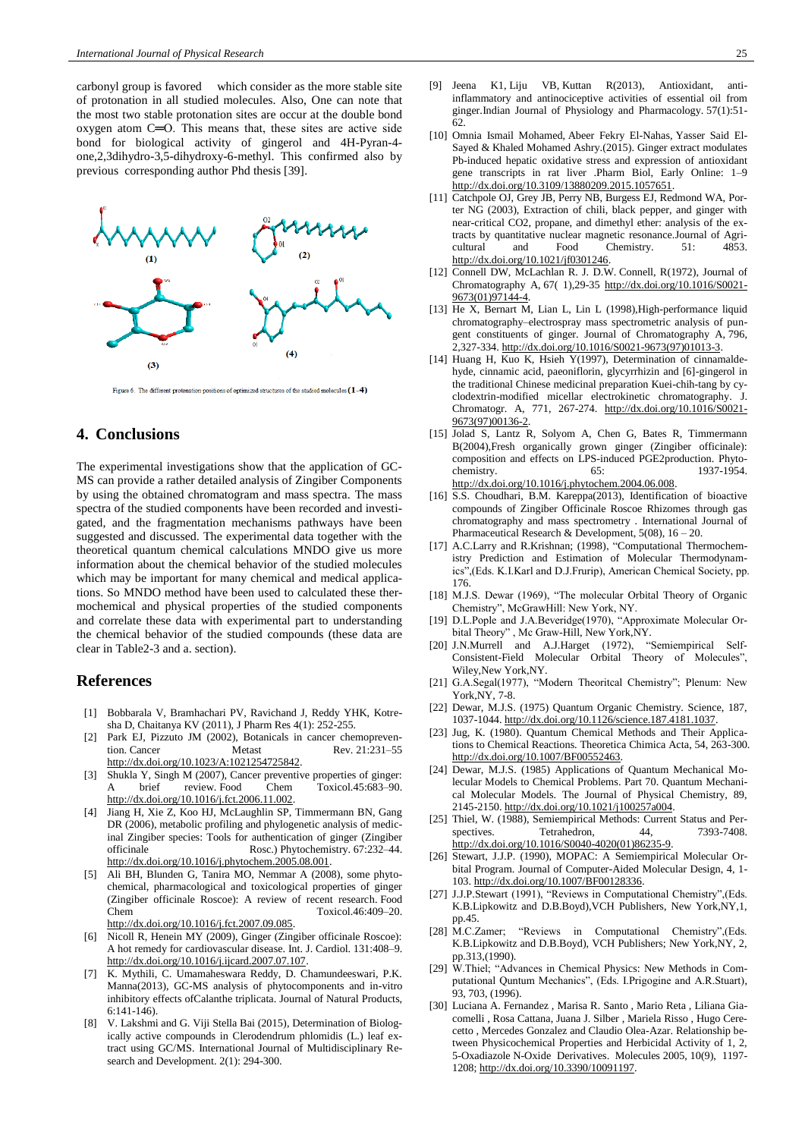carbonyl group is favored which consider as the more stable site of protonation in all studied molecules. Also, One can note that the most two stable protonation sites are occur at the double bond oxygen atom C═O. This means that, these sites are active side bond for biological activity of gingerol and 4H-Pyran-4 one,2,3dihydro-3,5-dihydroxy-6-methyl. This confirmed also by previous corresponding author Phd thesis [39].



Figure 6. The different protonation positions of optimized structures of the studied molecules  $(1-4)$ 

## **4. Conclusions**

The experimental investigations show that the application of GC-MS can provide a rather detailed analysis of Zingiber Components by using the obtained chromatogram and mass spectra. The mass spectra of the studied components have been recorded and investigated, and the fragmentation mechanisms pathways have been suggested and discussed. The experimental data together with the theoretical quantum chemical calculations MNDO give us more information about the chemical behavior of the studied molecules which may be important for many chemical and medical applications. So MNDO method have been used to calculated these thermochemical and physical properties of the studied components and correlate these data with experimental part to understanding the chemical behavior of the studied compounds (these data are clear in Table2-3 and a. section).

## **References**

- [1] Bobbarala V, Bramhachari PV, Ravichand J, Reddy YHK, Kotresha D, Chaitanya KV (2011), J Pharm Res 4(1): 252-255.
- [2] Park EJ, Pizzuto JM (2002), Botanicals in cancer chemoprevention. Cancer Metast Rev. 21:231-55 [http://dx.doi.org/10.1023/A:1021254725842.](http://dx.doi.org/10.1023/A:1021254725842)
- [3] Shukla Y, Singh M (2007), Cancer preventive properties of ginger: brief review. Food Chem Toxicol.45:683-90. [http://dx.doi.org/10.1016/j.fct.2006.11.002.](http://dx.doi.org/10.1016/j.fct.2006.11.002)
- [4] Jiang H, Xie Z, Koo HJ, McLaughlin SP, Timmermann BN, Gang DR (2006), metabolic profiling and phylogenetic analysis of medicinal Zingiber species: Tools for authentication of ginger (Zingiber officinale Rosc.) Phytochemistry. 67:232-44. Rosc.) Phytochemistry. 67:232-44. [http://dx.doi.org/10.1016/j.phytochem.2005.08.001.](http://dx.doi.org/10.1016/j.phytochem.2005.08.001)
- [5] Ali BH, Blunden G, Tanira MO, Nemmar A (2008), some phytochemical, pharmacological and toxicological properties of ginger (Zingiber officinale Roscoe): A review of recent research. Food Chem Toxicol.46:409–20. [http://dx.doi.org/10.1016/j.fct.2007.09.085.](http://dx.doi.org/10.1016/j.fct.2007.09.085)
- [6] Nicoll R, Henein MY (2009), Ginger (Zingiber officinale Roscoe): A hot remedy for cardiovascular disease. Int. J. Cardiol. 131:408–9. [http://dx.doi.org/10.1016/j.ijcard.2007.07.107.](http://dx.doi.org/10.1016/j.ijcard.2007.07.107)
- [7] K. Mythili, C. Umamaheswara Reddy, D. Chamundeeswari, P.K. Manna(2013), GC-MS analysis of phytocomponents and in-vitro inhibitory effects ofCalanthe triplicata. Journal of Natural Products, 6:141-146).
- [8] V. Lakshmi and G. Viji Stella Bai (2015), Determination of Biologically active compounds in Clerodendrum phlomidis (L.) leaf extract using GC/MS. International Journal of Multidisciplinary Research and Development. 2(1): 294-300.
- [9] [Jeena K1](http://www.ncbi.nlm.nih.gov/pubmed/24020099), [Liju VB,](http://www.ncbi.nlm.nih.gov/pubmed/24020099) [Kuttan R\(2013\), Antioxidant, anti](http://www.ncbi.nlm.nih.gov/pubmed/24020099)[inflammatory and antinociceptive activities of essential oil from](http://www.ncbi.nlm.nih.gov/pubmed/24020099)  [ginger.Indian Journal of Physiology and Pharmacology.](http://www.ncbi.nlm.nih.gov/pubmed/24020099) 57(1):51- 62.
- [10] [Omnia Ismail Mohamed,](http://www.tandfonline.com/author/Mohamed%2C+Omnia+Ismail) [Abeer Fekry El-Nahas,](http://www.tandfonline.com/author/El-Nahas%2C+Abeer+Fekry) [Yasser Said El-](http://www.tandfonline.com/author/El-Sayed%2C+Yasser+Said)[Sayed](http://www.tandfonline.com/author/El-Sayed%2C+Yasser+Said) & [Khaled Mohamed Ashry.\(](http://www.tandfonline.com/author/Ashry%2C+Khaled+Mohamed)2015). Ginger extract modulates Pb-induced hepatic oxidative stress and expression of antioxidant gene transcripts in rat liver .Pharm Biol, Early Online: 1–9 [http://dx.doi.org/10.3109/13880209.2015.1057651.](http://dx.doi.org/10.3109/13880209.2015.1057651)
- [11] Catchpole OJ, Grey JB, Perry NB, Burgess EJ, Redmond WA, Porter NG (2003), Extraction of chili, black pepper, and ginger with near-critical CO2, propane, and dimethyl ether: analysis of the extracts by quantitative nuclear magnetic resonanc[e.Journal of Agri](https://www.google.com.eg/url?sa=t&rct=j&q=&esrc=s&source=web&cd=1&cad=rja&uact=8&ved=0ahUKEwiJl8fH8tHLAhWFAxoKHQYZAyIQFggbMAA&url=http%3A%2F%2Fpubs.acs.org%2Fjournal%2Fjafcau&usg=AFQjCNH5PAfTp8G3y2WT0pD14ztU8PQzEg&sig2=sio58fMOfsqs3GgogejpMA)[cultural and Food Chemistry.](https://www.google.com.eg/url?sa=t&rct=j&q=&esrc=s&source=web&cd=1&cad=rja&uact=8&ved=0ahUKEwiJl8fH8tHLAhWFAxoKHQYZAyIQFggbMAA&url=http%3A%2F%2Fpubs.acs.org%2Fjournal%2Fjafcau&usg=AFQjCNH5PAfTp8G3y2WT0pD14ztU8PQzEg&sig2=sio58fMOfsqs3GgogejpMA) 51: 4853. [http://dx.doi.org/10.1021/jf0301246.](http://dx.doi.org/10.1021/jf0301246)
- [12] Connell DW, McLachlan R. J. D.W. Connell, R(1972), Journal of Chromatography A, 67( 1),29-35 [http://dx.doi.org/10.1016/S0021-](http://dx.doi.org/10.1016/S0021-9673(01)97144-4) [9673\(01\)97144-4.](http://dx.doi.org/10.1016/S0021-9673(01)97144-4)
- [13] He X, Bernart M, Lian L, Lin L (1998), High-performance liquid [chromatography–electrospray mass spectrometric analysis of pun](http://www.sciencedirect.com/science/article/pii/S0021967397010133)[gent constituents of ginger.](http://www.sciencedirect.com/science/article/pii/S0021967397010133) Journal of Chromatography A, 796, 2,327-334. [http://dx.doi.org/10.1016/S0021-9673\(97\)01013-3.](http://dx.doi.org/10.1016/S0021-9673(97)01013-3)
- [14] Huang H, Kuo K, Hsieh Y(1997), [Determination of cinnamalde](http://www.sciencedirect.com/science/article/pii/S0021967397001362)[hyde, cinnamic acid, paeoniflorin, glycyrrhizin and \[6\]-gingerol in](http://www.sciencedirect.com/science/article/pii/S0021967397001362)  [the traditional Chinese medicinal preparation Kuei-chih-tang by cy](http://www.sciencedirect.com/science/article/pii/S0021967397001362)[clodextrin-modified micellar electrokinetic chromatography.](http://www.sciencedirect.com/science/article/pii/S0021967397001362) J. Chromatogr. A, 771, 267-274. [http://dx.doi.org/10.1016/S0021-](http://dx.doi.org/10.1016/S0021-9673(97)00136-2) [9673\(97\)00136-2.](http://dx.doi.org/10.1016/S0021-9673(97)00136-2)
- [15] Jolad S, Lantz R, Solyom A, Chen G, Bates R, Timmermann B(2004[\),Fresh organically grown ginger \(Zingiber officinale\):](http://www.sciencedirect.com/science/article/pii/S0031942204002572)  [composition and effects on LPS-induced PGE2production.](http://www.sciencedirect.com/science/article/pii/S0031942204002572) Phytochemistry. 65: 1937-1954. [http://dx.doi.org/10.1016/j.phytochem.2004.06.008.](http://dx.doi.org/10.1016/j.phytochem.2004.06.008)
- [16] S.S. Choudhari, B.M. Kareppa(2013), Identification of bioactive compounds of Zingiber Officinale Roscoe Rhizomes through gas chromatography and mass spectrometry . International Journal of Pharmaceutical Research & Development, 5(08), 16 – 20.
- [17] A.C.Larry and R.Krishnan; (1998), "Computational Thermochemistry Prediction and Estimation of Molecular Thermodynamics",(Eds. K.I.Karl and D.J.Frurip), American Chemical Society, pp. 176.
- [18] M.J.S. Dewar (1969), "The molecular Orbital Theory of Organic Chemistry", McGrawHill: New York, NY.
- [19] D.L.Pople and J.A.Beveridge(1970), "Approximate Molecular Orbital Theory" , Mc Graw-Hill, New York,NY.
- [20] J.N.Murrell and A.J.Harget (1972), "Semiempirical Self-Consistent-Field Molecular Orbital Theory of Molecules", Wiley,New York,NY.
- [21] G.A.Segal(1977), "Modern Theoritcal Chemistry"; Plenum: New York,NY, 7-8.
- [22] Dewar, M.J.S. (1975) Quantum Organic Chemistry. Science, 187, 1037-1044[. http://dx.doi.org/10.1126/science.187.4181.1037.](http://dx.doi.org/10.1126/science.187.4181.1037)
- [23] Jug, K. (1980). Quantum Chemical Methods and Their Applications to Chemical Reactions. Theoretica Chimica Acta, 54, 263-300. [http://dx.doi.org/10.1007/BF00552463.](http://dx.doi.org/10.1007/BF00552463)
- [24] Dewar, M.J.S. (1985) Applications of Quantum Mechanical Molecular Models to Chemical Problems. Part 70. Quantum Mechanical Molecular Models. The Journal of Physical Chemistry, 89, 2145-2150[. http://dx.doi.org/10.1021/j100257a004.](http://dx.doi.org/10.1021/j100257a004)
- [25] Thiel, W. (1988), Semiempirical Methods: Current Status and Perspectives. Tetrahedron, 44, 7393-7408. [http://dx.doi.org/10.1016/S0040-4020\(01\)86235-9.](http://dx.doi.org/10.1016/S0040-4020(01)86235-9)
- [26] Stewart, J.J.P. (1990), MOPAC: A Semiempirical Molecular Orbital Program. Journal of Computer-Aided Molecular Design, 4, 1- 103[. http://dx.doi.org/10.1007/BF00128336.](http://dx.doi.org/10.1007/BF00128336)
- J.J.P.Stewart (1991), "Reviews in Computational Chemistry",(Eds. K.B.Lipkowitz and D.B.Boyd),VCH Publishers, New York,NY,1, pp.45.
- [28] M.C.Zamer; "Reviews in Computational Chemistry",(Eds. K.B.Lipkowitz and D.B.Boyd), VCH Publishers; New York,NY, 2, pp.313,(1990).
- [29] W.Thiel; "Advances in Chemical Physics: New Methods in Computational Quntum Mechanics", (Eds. I.Prigogine and A.R.Stuart), 93, 703, (1996).
- [30] Luciana A. Fernandez , Marisa R. Santo , Mario Reta , Liliana Giacomelli , Rosa Cattana, Juana J. Silber , Mariela Risso , Hugo Cerecetto , Mercedes Gonzalez and Claudio Olea-Azar. Relationship between Physicochemical Properties and Herbicidal Activity of 1, 2, 5-Oxadiazole N-Oxide Derivatives. Molecules 2005, 10(9), 1197- 1208[; http://dx.doi.org/10.3390/10091197.](http://dx.doi.org/10.3390/10091197)